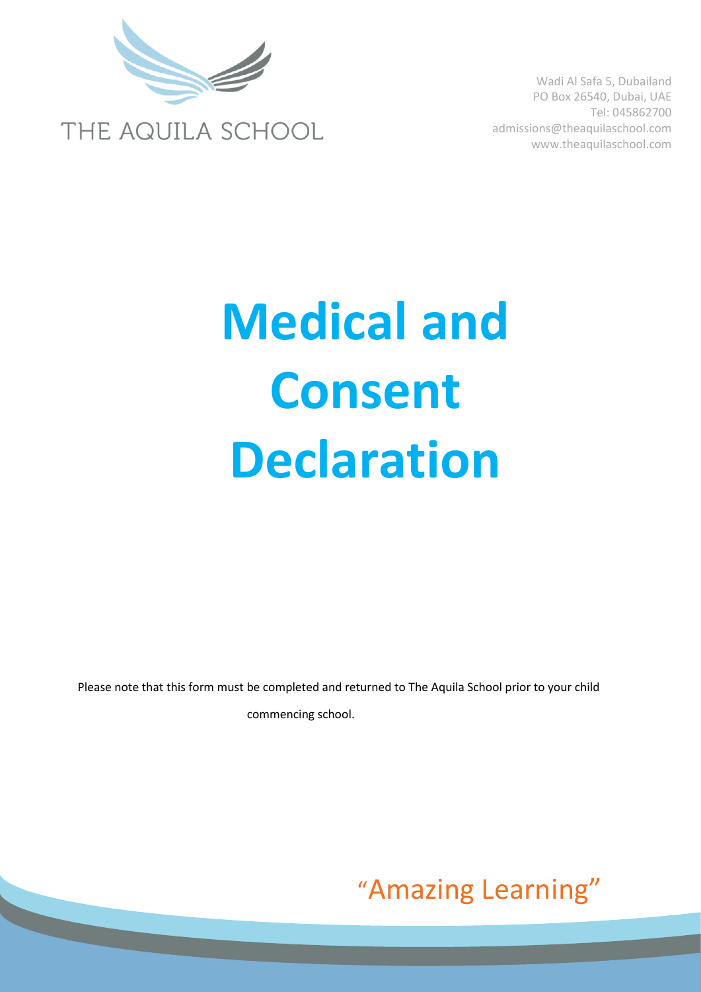

# **Medical and Consent Declaration**

Please note that this form must be completed and returned to The Aquila School prior to your child commencing school.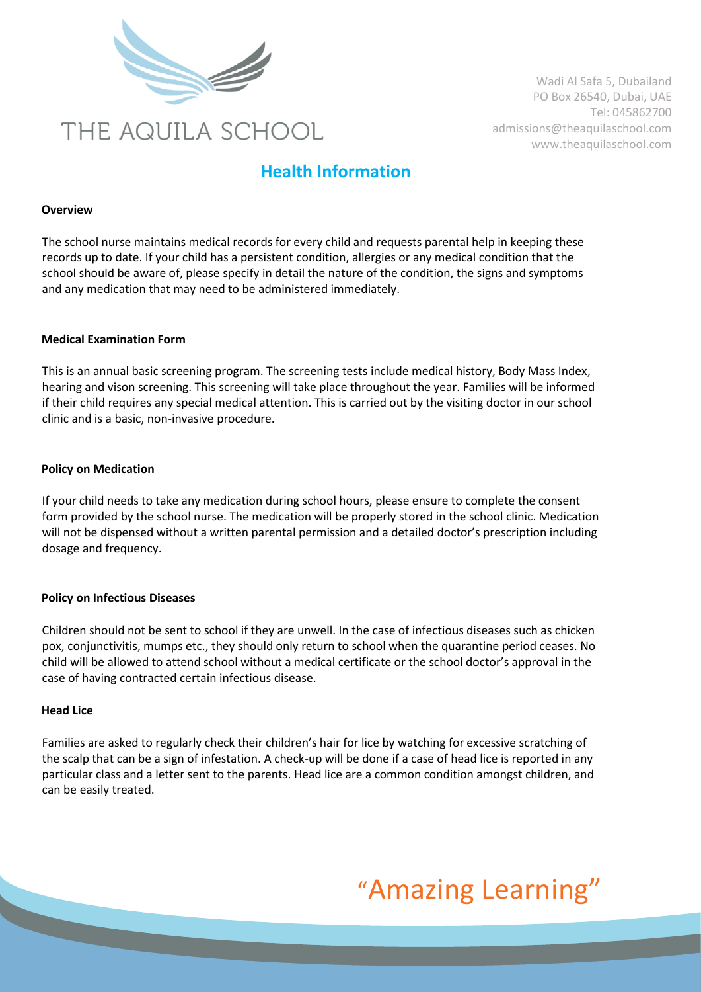

### **Health Information**

#### **Overview**

The school nurse maintains medical records for every child and requests parental help in keeping these records up to date. If your child has a persistent condition, allergies or any medical condition that the school should be aware of, please specify in detail the nature of the condition, the signs and symptoms and any medication that may need to be administered immediately.

#### **Medical Examination Form**

This is an annual basic screening program. The screening tests include medical history, Body Mass Index, hearing and vison screening. This screening will take place throughout the year. Families will be informed if their child requires any special medical attention. This is carried out by the visiting doctor in our school clinic and is a basic, non-invasive procedure.

#### **Policy on Medication**

If your child needs to take any medication during school hours, please ensure to complete the consent form provided by the school nurse. The medication will be properly stored in the school clinic. Medication will not be dispensed without a written parental permission and a detailed doctor's prescription including dosage and frequency.

#### **Policy on Infectious Diseases**

Children should not be sent to school if they are unwell. In the case of infectious diseases such as chicken pox, conjunctivitis, mumps etc., they should only return to school when the quarantine period ceases. No child will be allowed to attend school without a medical certificate or the school doctor's approval in the case of having contracted certain infectious disease.

#### **Head Lice**

Families are asked to regularly check their children's hair for lice by watching for excessive scratching of the scalp that can be a sign of infestation. A check-up will be done if a case of head lice is reported in any particular class and a letter sent to the parents. Head lice are a common condition amongst children, and can be easily treated.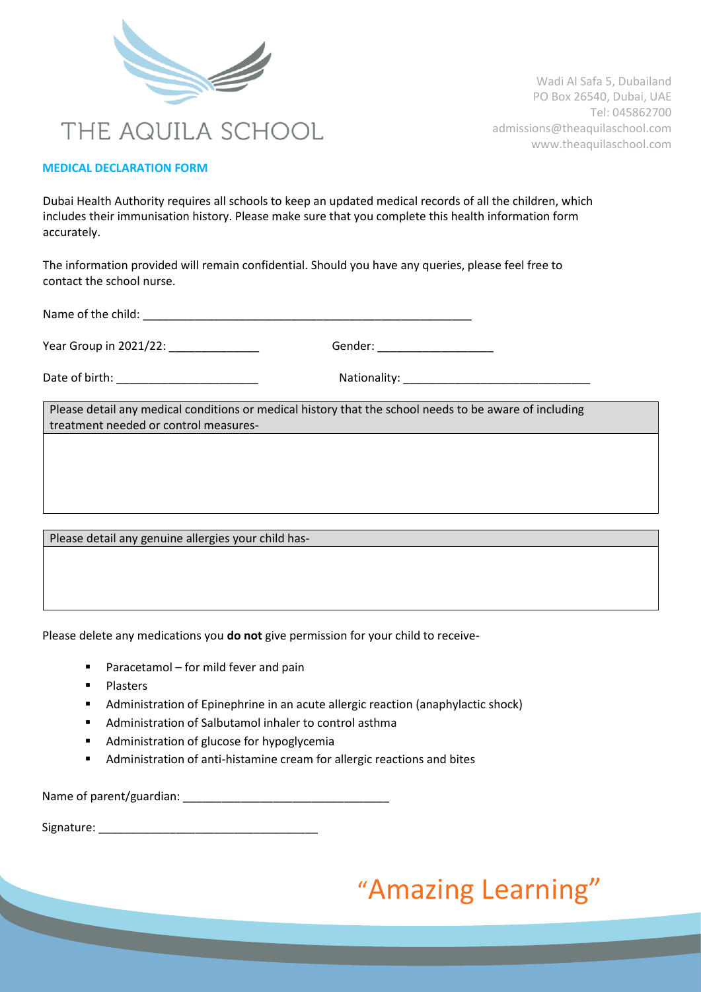

#### **MEDICAL DECLARATION FORM**

Dubai Health Authority requires all schools to keep an updated medical records of all the children, which includes their immunisation history. Please make sure that you complete this health information form accurately.

The information provided will remain confidential. Should you have any queries, please feel free to contact the school nurse.

Name of the child: \_\_\_\_\_\_\_\_\_\_\_\_\_\_\_\_\_\_\_\_\_\_\_\_\_\_\_\_\_\_\_\_\_\_\_\_\_\_\_\_\_\_\_\_\_\_\_\_\_\_\_

Year Group in 2021/22: **Example 2018** Gender:

Date of birth: \_\_\_\_\_\_\_\_\_\_\_\_\_\_\_\_\_\_\_\_\_\_ Nationality: \_\_\_\_\_\_\_\_\_\_\_\_\_\_\_\_\_\_\_\_\_\_\_\_\_\_\_\_\_

Please detail any medical conditions or medical history that the school needs to be aware of including treatment needed or control measures-

Please detail any genuine allergies your child has-

Please delete any medications you **do not** give permission for your child to receive-

- **Paracetamol for mild fever and pain**
- **Plasters**
- Administration of Epinephrine in an acute allergic reaction (anaphylactic shock)
- Administration of Salbutamol inhaler to control asthma
- **Administration of glucose for hypoglycemia**
- Administration of anti-histamine cream for allergic reactions and bites

Name of parent/guardian: \_\_\_\_\_\_\_\_\_\_\_\_\_\_\_\_\_\_\_\_\_\_\_\_\_\_\_\_\_\_\_\_

Signature: \_\_\_\_\_\_\_\_\_\_\_\_\_\_\_\_\_\_\_\_\_\_\_\_\_\_\_\_\_\_\_\_\_\_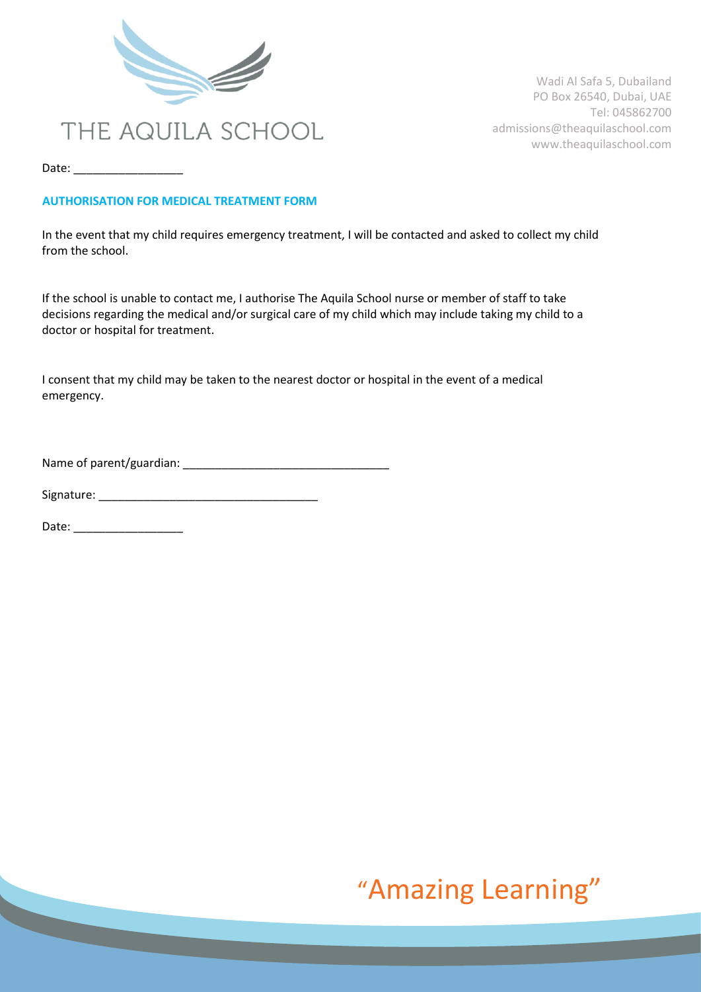

Date: \_\_\_\_\_\_\_\_\_\_\_\_\_\_\_\_\_

#### **AUTHORISATION FOR MEDICAL TREATMENT FORM**

In the event that my child requires emergency treatment, I will be contacted and asked to collect my child from the school.

If the school is unable to contact me, I authorise The Aquila School nurse or member of staff to take decisions regarding the medical and/or surgical care of my child which may include taking my child to a doctor or hospital for treatment.

I consent that my child may be taken to the nearest doctor or hospital in the event of a medical emergency.

Name of parent/guardian: \_\_\_\_\_\_\_\_\_\_\_\_\_\_\_\_\_\_\_\_\_\_\_\_\_\_\_\_\_\_\_\_

Signature: \_\_\_\_\_\_\_\_\_\_\_\_\_\_\_\_\_\_\_\_\_\_\_\_\_\_\_\_\_\_\_\_\_\_

Date: \_\_\_\_\_\_\_\_\_\_\_\_\_\_\_\_\_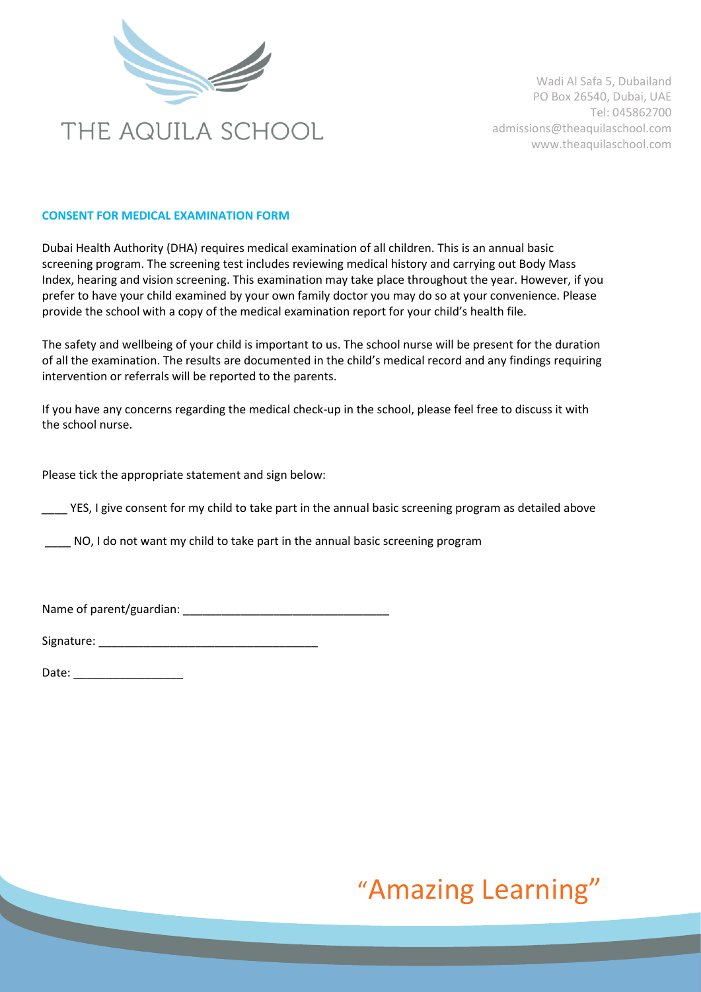

#### **CONSENT FOR MEDICAL EXAMINATION FORM**

Dubai Health Authority (DHA) requires medical examination of all children. This is an annual basic screening program. The screening test includes reviewing medical history and carrying out Body Mass Index, hearing and vision screening. This examination may take place throughout the year. However, if you prefer to have your child examined by your own family doctor you may do so at your convenience. Please provide the school with a copy of the medical examination report for your child's health file.

The safety and wellbeing of your child is important to us. The school nurse will be present for the duration of all the examination. The results are documented in the child's medical record and any findings requiring intervention or referrals will be reported to the parents.

If you have any concerns regarding the medical check-up in the school, please feel free to discuss it with the school nurse.

Please tick the appropriate statement and sign below:

YES, I give consent for my child to take part in the annual basic screening program as detailed above

\_\_\_\_ NO, I do not want my child to take part in the annual basic screening program

Name of parent/guardian: \_\_\_\_\_\_\_\_\_\_\_\_\_\_\_\_\_\_\_\_\_\_\_\_\_\_\_\_\_\_\_\_

Signature:  $\Box$ 

Date: \_\_\_\_\_\_\_\_\_\_\_\_\_\_\_\_\_